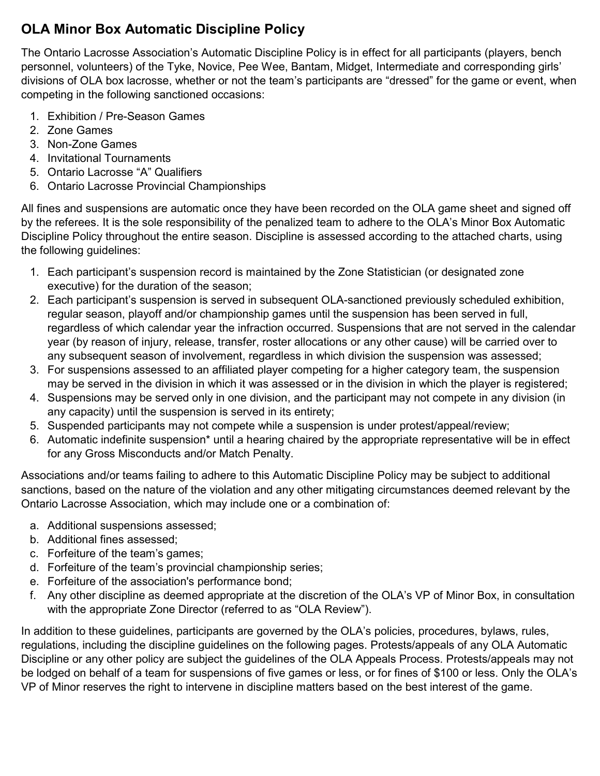## **OLA Minor Box Automatic Discipline Policy**

The Ontario Lacrosse Association's Automatic Discipline Policy is in effect for all participants (players, bench personnel, volunteers) of the Tyke, Novice, Pee Wee, Bantam, Midget, Intermediate and corresponding girls' divisions of OLA box lacrosse, whether or not the team's participants are "dressed" for the game or event, when competing in the following sanctioned occasions:

- 1. Exhibition / Pre-Season Games
- 2. Zone Games
- 3. Non-Zone Games
- 4. Invitational Tournaments
- 5. Ontario Lacrosse "A" Qualifiers
- 6. Ontario Lacrosse Provincial Championships

All fines and suspensions are automatic once they have been recorded on the OLA game sheet and signed off by the referees. It is the sole responsibility of the penalized team to adhere to the OLA's Minor Box Automatic Discipline Policy throughout the entire season. Discipline is assessed according to the attached charts, using the following guidelines:

- 1. Each participant's suspension record is maintained by the Zone Statistician (or designated zone executive) for the duration of the season;
- 2. Each participant's suspension is served in subsequent OLA-sanctioned previously scheduled exhibition, regular season, playoff and/or championship games until the suspension has been served in full, regardless of which calendar year the infraction occurred. Suspensions that are not served in the calendar year (by reason of injury, release, transfer, roster allocations or any other cause) will be carried over to any subsequent season of involvement, regardless in which division the suspension was assessed;
- 3. For suspensions assessed to an affiliated player competing for a higher category team, the suspension may be served in the division in which it was assessed or in the division in which the player is registered;
- 4. Suspensions may be served only in one division, and the participant may not compete in any division (in any capacity) until the suspension is served in its entirety;
- 5. Suspended participants may not compete while a suspension is under protest/appeal/review;
- 6. Automatic indefinite suspension\* until a hearing chaired by the appropriate representative will be in effect for any Gross Misconducts and/or Match Penalty.

Associations and/or teams failing to adhere to this Automatic Discipline Policy may be subject to additional sanctions, based on the nature of the violation and any other mitigating circumstances deemed relevant by the Ontario Lacrosse Association, which may include one or a combination of:

- a. Additional suspensions assessed;
- b. Additional fines assessed;
- c. Forfeiture of the team's games;
- d. Forfeiture of the team's provincial championship series;
- e. Forfeiture of the association's performance bond;
- f. Any other discipline as deemed appropriate at the discretion of the OLA's VP of Minor Box, in consultation with the appropriate Zone Director (referred to as "OLA Review").

In addition to these guidelines, participants are governed by the OLA's policies, procedures, bylaws, rules, regulations, including the discipline guidelines on the following pages. Protests/appeals of any OLA Automatic Discipline or any other policy are subject the guidelines of the OLA Appeals Process. Protests/appeals may not be lodged on behalf of a team for suspensions of five games or less, or for fines of \$100 or less. Only the OLA's VP of Minor reserves the right to intervene in discipline matters based on the best interest of the game.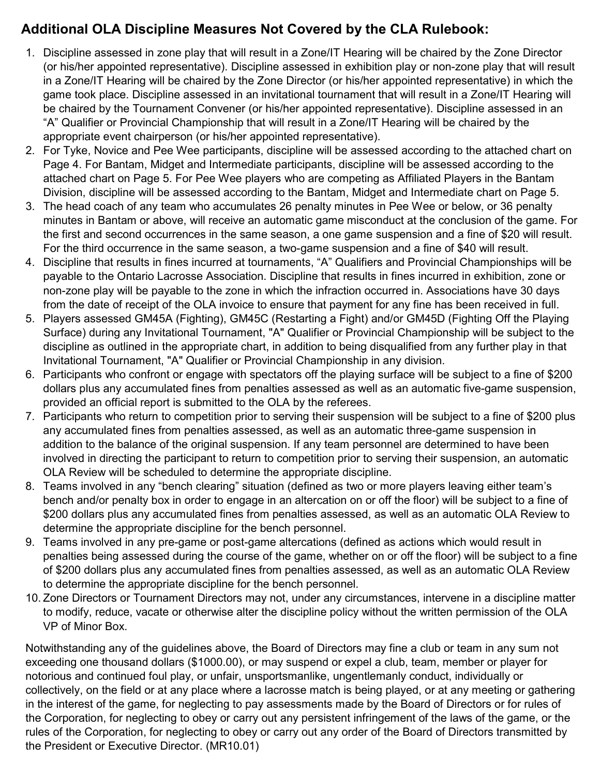# **Additional OLA Discipline Measures Not Covered by the CLA Rulebook:**

- 1. Discipline assessed in zone play that will result in a Zone/IT Hearing will be chaired by the Zone Director (or his/her appointed representative). Discipline assessed in exhibition play or non-zone play that will result in a Zone/IT Hearing will be chaired by the Zone Director (or his/her appointed representative) in which the game took place. Discipline assessed in an invitational tournament that will result in a Zone/IT Hearing will be chaired by the Tournament Convener (or his/her appointed representative). Discipline assessed in an "A" Qualifier or Provincial Championship that will result in a Zone/IT Hearing will be chaired by the appropriate event chairperson (or his/her appointed representative).
- 2. For Tyke, Novice and Pee Wee participants, discipline will be assessed according to the attached chart on Page 4. For Bantam, Midget and Intermediate participants, discipline will be assessed according to the attached chart on Page 5. For Pee Wee players who are competing as Affiliated Players in the Bantam Division, discipline will be assessed according to the Bantam, Midget and Intermediate chart on Page 5.
- 3. The head coach of any team who accumulates 26 penalty minutes in Pee Wee or below, or 36 penalty minutes in Bantam or above, will receive an automatic game misconduct at the conclusion of the game. For the first and second occurrences in the same season, a one game suspension and a fine of \$20 will result. For the third occurrence in the same season, a two-game suspension and a fine of \$40 will result.
- 4. Discipline that results in fines incurred at tournaments, "A" Qualifiers and Provincial Championships will be payable to the Ontario Lacrosse Association. Discipline that results in fines incurred in exhibition, zone or non-zone play will be payable to the zone in which the infraction occurred in. Associations have 30 days from the date of receipt of the OLA invoice to ensure that payment for any fine has been received in full.
- 5. Players assessed GM45A (Fighting), GM45C (Restarting a Fight) and/or GM45D (Fighting Off the Playing Surface) during any Invitational Tournament, "A" Qualifier or Provincial Championship will be subject to the discipline as outlined in the appropriate chart, in addition to being disqualified from any further play in that Invitational Tournament, "A" Qualifier or Provincial Championship in any division.
- 6. Participants who confront or engage with spectators off the playing surface will be subject to a fine of \$200 dollars plus any accumulated fines from penalties assessed as well as an automatic five-game suspension, provided an official report is submitted to the OLA by the referees.
- 7. Participants who return to competition prior to serving their suspension will be subject to a fine of \$200 plus any accumulated fines from penalties assessed, as well as an automatic three-game suspension in addition to the balance of the original suspension. If any team personnel are determined to have been involved in directing the participant to return to competition prior to serving their suspension, an automatic OLA Review will be scheduled to determine the appropriate discipline.
- 8. Teams involved in any "bench clearing" situation (defined as two or more players leaving either team's bench and/or penalty box in order to engage in an altercation on or off the floor) will be subject to a fine of \$200 dollars plus any accumulated fines from penalties assessed, as well as an automatic OLA Review to determine the appropriate discipline for the bench personnel.
- 9. Teams involved in any pre-game or post-game altercations (defined as actions which would result in penalties being assessed during the course of the game, whether on or off the floor) will be subject to a fine of \$200 dollars plus any accumulated fines from penalties assessed, as well as an automatic OLA Review to determine the appropriate discipline for the bench personnel.
- 10. Zone Directors or Tournament Directors may not, under any circumstances, intervene in a discipline matter to modify, reduce, vacate or otherwise alter the discipline policy without the written permission of the OLA VP of Minor Box.

Notwithstanding any of the guidelines above, the Board of Directors may fine a club or team in any sum not exceeding one thousand dollars (\$1000.00), or may suspend or expel a club, team, member or player for notorious and continued foul play, or unfair, unsportsmanlike, ungentlemanly conduct, individually or collectively, on the field or at any place where a lacrosse match is being played, or at any meeting or gathering in the interest of the game, for neglecting to pay assessments made by the Board of Directors or for rules of the Corporation, for neglecting to obey or carry out any persistent infringement of the laws of the game, or the rules of the Corporation, for neglecting to obey or carry out any order of the Board of Directors transmitted by the President or Executive Director. (MR10.01)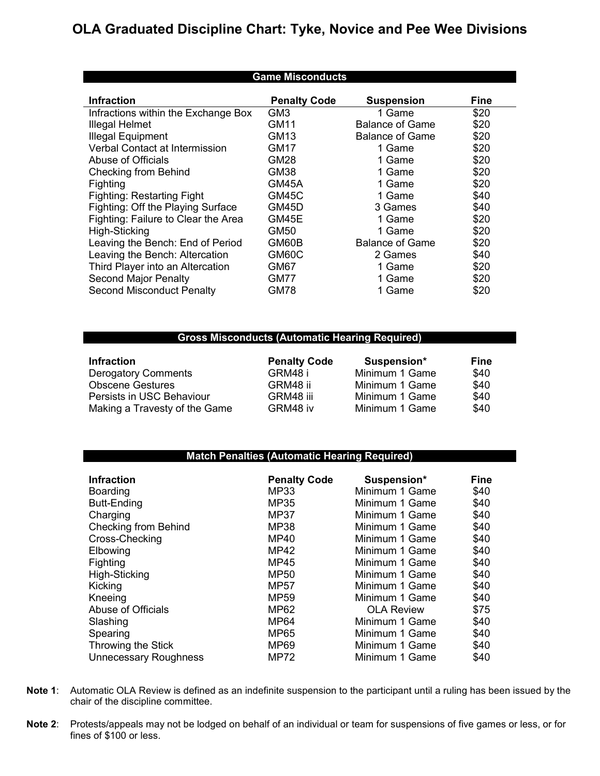## **OLA Graduated Discipline Chart: Tyke, Novice and Pee Wee Divisions**

| <b>Game Misconducts</b>             |                     |                        |             |
|-------------------------------------|---------------------|------------------------|-------------|
| <b>Infraction</b>                   | <b>Penalty Code</b> | <b>Suspension</b>      | <b>Fine</b> |
| Infractions within the Exchange Box | GM3                 | 1 Game                 | \$20        |
| Illegal Helmet                      | GM11                | <b>Balance of Game</b> | \$20        |
| <b>Illegal Equipment</b>            | GM <sub>13</sub>    | <b>Balance of Game</b> | \$20        |
| Verbal Contact at Intermission      | GM17                | 1 Game                 | \$20        |
| Abuse of Officials                  | GM28                | 1 Game                 | \$20        |
| <b>Checking from Behind</b>         | GM38                | 1 Game                 | \$20        |
| Fighting                            | GM45A               | 1 Game                 | \$20        |
| Fighting: Restarting Fight          | GM45C               | 1 Game                 | \$40        |
| Fighting: Off the Playing Surface   | GM45D               | 3 Games                | \$40        |
| Fighting: Failure to Clear the Area | GM45E               | 1 Game                 | \$20        |
| High-Sticking                       | GM50                | 1 Game                 | \$20        |
| Leaving the Bench: End of Period    | GM60B               | <b>Balance of Game</b> | \$20        |
| Leaving the Bench: Altercation      | GM60C               | 2 Games                | \$40        |
| Third Player into an Altercation    | GM67                | 1 Game                 | \$20        |
| <b>Second Major Penalty</b>         | GM77                | 1 Game                 | \$20        |
| <b>Second Misconduct Penalty</b>    | GM78                | 1 Game                 | \$20        |

#### **Gross Misconducts (Automatic Hearing Required)**

| <b>Infraction</b>             | <b>Penalty Code</b> | Suspension*    | <b>Fine</b> |
|-------------------------------|---------------------|----------------|-------------|
| <b>Derogatory Comments</b>    | GRM48 i             | Minimum 1 Game | \$40        |
| <b>Obscene Gestures</b>       | GRM48 ii            | Minimum 1 Game | \$40        |
| Persists in USC Behaviour     | GRM48 iii           | Minimum 1 Game | \$40        |
| Making a Travesty of the Game | GRM48 iv            | Minimum 1 Game | \$40        |

#### **Match Penalties (Automatic Hearing Required)**

| <b>Infraction</b>            | <b>Penalty Code</b> | Suspension*       | <b>Fine</b> |
|------------------------------|---------------------|-------------------|-------------|
| Boarding                     | <b>MP33</b>         | Minimum 1 Game    | \$40        |
| <b>Butt-Ending</b>           | MP35                | Minimum 1 Game    | \$40        |
| Charging                     | <b>MP37</b>         | Minimum 1 Game    | \$40        |
| <b>Checking from Behind</b>  | <b>MP38</b>         | Minimum 1 Game    | \$40        |
| Cross-Checking               | MP40                | Minimum 1 Game    | \$40        |
| Elbowing                     | <b>MP42</b>         | Minimum 1 Game    | \$40        |
| Fighting                     | MP45                | Minimum 1 Game    | \$40        |
| High-Sticking                | <b>MP50</b>         | Minimum 1 Game    | \$40        |
| Kicking                      | MP57                | Minimum 1 Game    | \$40        |
| Kneeing                      | MP <sub>59</sub>    | Minimum 1 Game    | \$40        |
| Abuse of Officials           | MP62                | <b>OLA Review</b> | \$75        |
| Slashing                     | <b>MP64</b>         | Minimum 1 Game    | \$40        |
| Spearing                     | MP65                | Minimum 1 Game    | \$40        |
| Throwing the Stick           | <b>MP69</b>         | Minimum 1 Game    | \$40        |
| <b>Unnecessary Roughness</b> | MP72                | Minimum 1 Game    | \$40        |

- **Note 1**: Automatic OLA Review is defined as an indefinite suspension to the participant until a ruling has been issued by the chair of the discipline committee.
- **Note 2**: Protests/appeals may not be lodged on behalf of an individual or team for suspensions of five games or less, or for fines of \$100 or less.